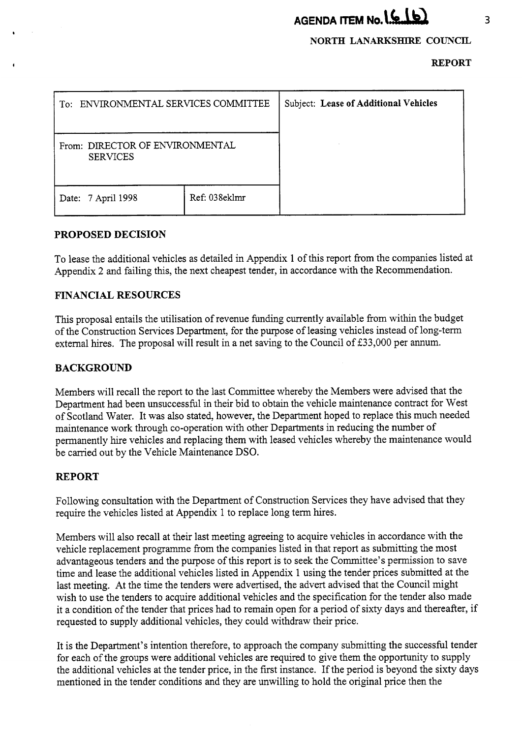# **AGENDA ITEM No. (616)**

## **NORTH LANARKSHIRE COUNCIL**

#### **REPORT**

| To: ENVIRONMENTAL SERVICES COMMITTEE               |               | Subject: Lease of Additional Vehicles |
|----------------------------------------------------|---------------|---------------------------------------|
| From: DIRECTOR OF ENVIRONMENTAL<br><b>SERVICES</b> |               |                                       |
| Date: 7 April 1998                                 | Ref: 038eklmr |                                       |

## **PROPOSED DECISION**

To lease the additional vehicles as detailed in Appendix 1 of this report from the companies listed at Appendix **2** and failing this, the next cheapest tender, in accordance with the Recommendation.

# **FINANCIAL RESOURCES**

This proposal entails the utilisation of revenue funding currently available from within the budget of the Construction Services Department, for the purpose of leasing vehicles instead of long-term external hires. The proposal will result in a net saving to the Council of £33,000 per annum.

## **BACKGROUND**

Members will recall the report to the last Committee whereby the Members were advised that the Department had been unsuccessful in their bid to obtain the vehicle maintenance contract for West of Scotland Water. It was also stated, however, the Department hoped to replace this much needed maintenance work through co-operation with other Departments in reducing the number of permanently hire vehicles and replacing them with leased vehicles whereby the maintenance would be carried out by the Vehicle Maintenance DSO.

# **REPORT**

Following consultation with the Department of Construction Services they have advised that they require the vehicles listed at Appendix 1 to replace long term hires.

Members will also recall at their last meeting agreeing to acquire vehicles in accordance with the vehicle replacement programme from the companies listed in that report as submitting the most advantageous tenders and the purpose of this report is to seek the Committee's permission to save time and lease the additional vehicles listed in Appendix 1 using the tender prices submitted at the last meeting. At the time the tenders were advertised, the advert advised that the Council might wish to use the tenders to acquire additional vehicles and the specification for the tender also made it a condition of the tender that prices had to remain open for a period of sixty days and thereafter, if requested to supply additional vehicles, they could withdraw their price.

It is the Department's intention therefore, to approach the company submitting the successful tender for each of the groups were additional vehicles are required to give them the opportunity to supply the additional vehicles at the tender price, in the first instance. If the period is beyond the sixty days mentioned in the tender conditions and they are unwilling to hold the original price then the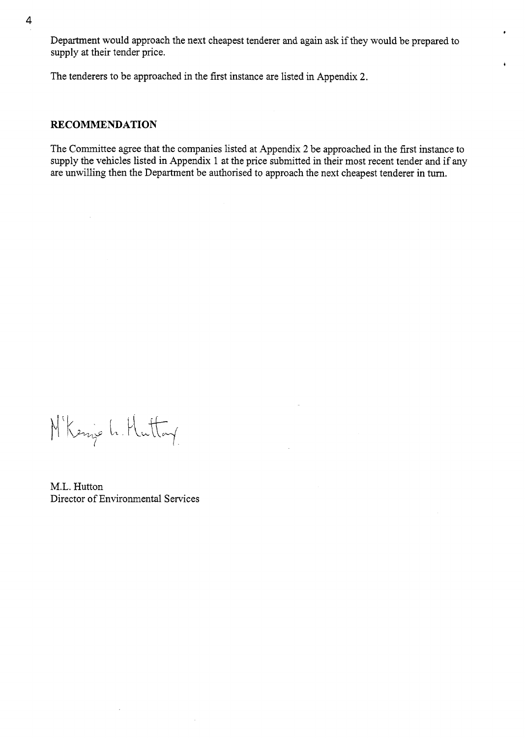Department would approach the next cheapest tenderer and again ask if they would be prepared to supply at their tender price.

\*

*b* 

The tenderers to be approached in the first instance are listed in Appendix 2.

#### **RECOMMENDATION**

The Committee agree that the companies listed at Appendix **2** be approached in the first instance to supply the vehicles listed in Appendix 1 at the price submitted in their most recent tender and if **any**  are unwilling then the Department be authorised to approach the next cheapest tenderer in turn.

M'Kenje L. Huttay

M.L. Hutton Director of Environmental Services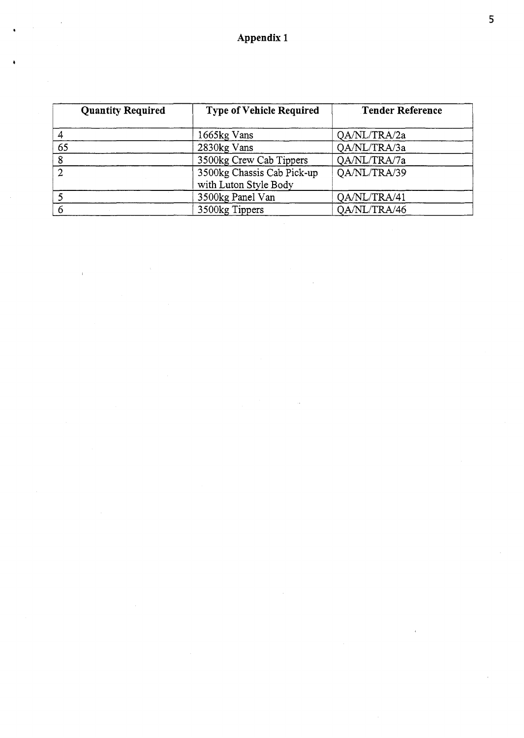**Appendix 1** 

| <b>Quantity Required</b> | <b>Type of Vehicle Required</b>                     | Tender Reference |
|--------------------------|-----------------------------------------------------|------------------|
|                          | 1665kg Vans                                         | QA/NL/TRA/2a     |
| 65                       | 2830kg Vans                                         | QA/NL/TRA/3a     |
| 8                        | 3500kg Crew Cab Tippers                             | QA/NL/TRA/7a     |
| າ                        | 3500kg Chassis Cab Pick-up<br>with Luton Style Body | QA/NL/TRA/39     |
|                          | 3500kg Panel Van                                    | QA/NL/TRA/41     |
|                          | 3500kg Tippers                                      | QA/NL/TRA/46     |

 $\bar{1}$